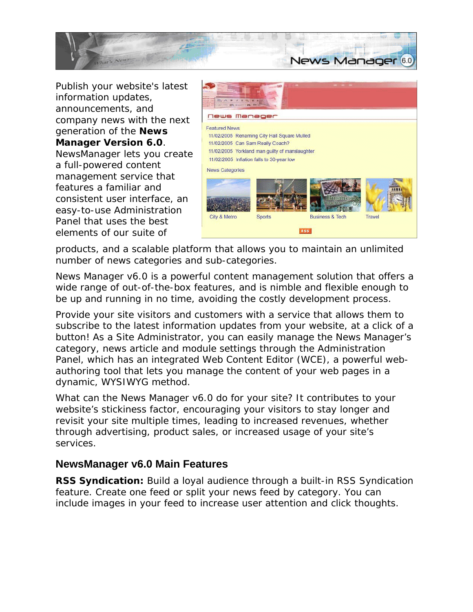

Publish your website's latest information updates, announcements, and company news with the next generation of the **News Manager Version 6.0**. NewsManager lets you create a full-powered content management service that features a familiar and consistent user interface, an easy-to-use Administration Panel that uses the best elements of our suite of



products, and a scalable platform that allows you to maintain an unlimited number of news categories and sub-categories.

News Manager v6.0 is a powerful content management solution that offers a wide range of out-of-the-box features, and is nimble and flexible enough to be up and running in no time, avoiding the costly development process.

Provide your site visitors and customers with a service that allows them to subscribe to the latest information updates from your website, at a click of a button! As a Site Administrator, you can easily manage the News Manager's category, news article and module settings through the Administration Panel, which has an integrated Web Content Editor (WCE), a powerful webauthoring tool that lets you manage the content of your web pages in a dynamic, WYSIWYG method.

What can the News Manager v6.0 do for your site? It contributes to your website's *stickiness factor*, encouraging your visitors to stay longer and revisit your site multiple times, leading to increased revenues, whether through advertising, product sales, or increased usage of your site's services.

## **NewsManager v6.0 Main Features**

**RSS Syndication:** Build a loyal audience through a built-in RSS Syndication feature. Create one feed or split your news feed by category. You can include images in your feed to increase user attention and click thoughts.